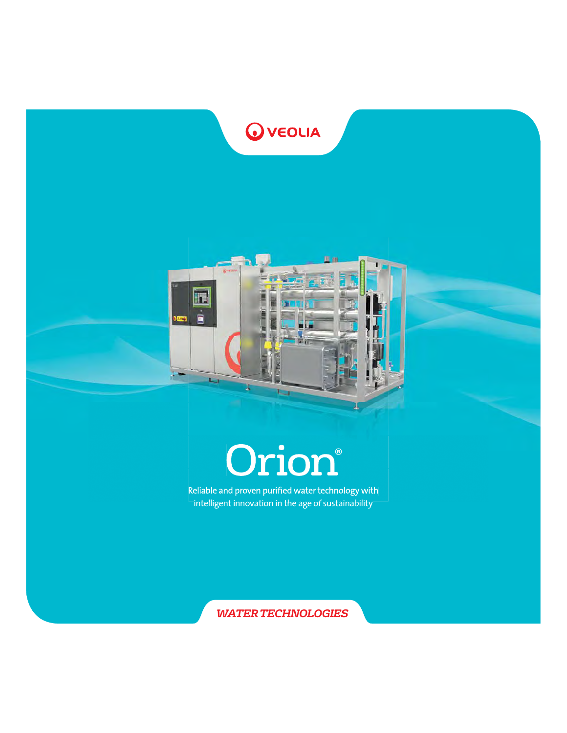



# **Orion®**

Reliable and proven purified water technology with intelligent innovation in the age of sustainability

*WATER TECHNOLOGIES*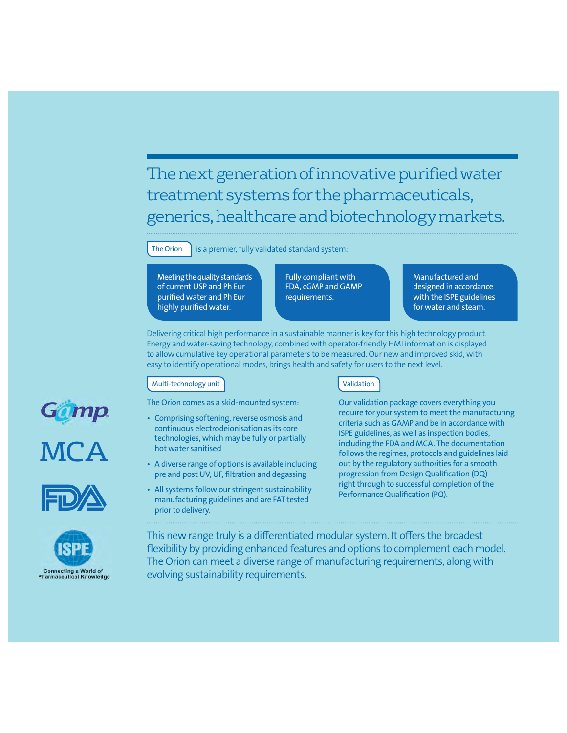The next generation of innovative purified water treatment systems for the pharmaceuticals, generics, healthcare and biotechnology markets.

The Orion  $\parallel$  is a premier, fully validated standard system:

Meeting the quality standards of current USP and Ph Eur purified water and Ph Eur highly purified water.

Fully compliant with FDA, cGMP and GAMP requirements.

Manufactured and designed in accordance with the ISPE guidelines for water and steam.

Delivering critical high performance in a sustainable manner is key for this high technology product. Energy and water-saving technology, combined with operator-friendly HMI information is displayed to allow cumulative key operational parameters to be measured. Our new and improved skid, with easy to identify operational modes, brings health and safety for users to the next level.

#### Multi-technology unit

The Orion comes as a skid-mounted system:

- Comprising softening, reverse osmosis and continuous electrodeionisation as its core technologies, which may be fully or partially hot water sanitised
- A diverse range of options is available including pre and post UV, UF, filtration and degassing
- All systems follow our stringent sustainability manufacturing guidelines and are FAT tested prior to delivery.

#### Validation

Our validation package covers everything you require for your system to meet the manufacturing criteria such as GAMP and be in accordance with ISPE guidelines, as well as inspection bodies, including the FDA and MCA. The documentation follows the regimes, protocols and guidelines laid out by the regulatory authorities for a smooth progression from Design Qualification (DQ) right through to successful completion of the Performance Qualification (PQ).

This new range truly is a differentiated modular system. It offers the broadest flexibility by providing enhanced features and options to complement each model. The Orion can meet a diverse range of manufacturing requirements, along with evolving sustainability requirements.





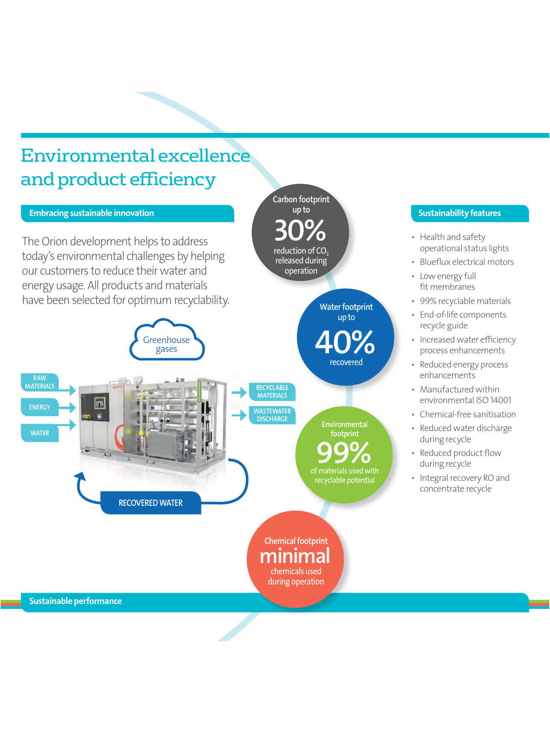# Environmental excellence and product efficiency

#### Embracing sustainable innovation

m

The Orion development helps to address today's environmental challenges by helping our customers to reduce their water and energy usage. All products and materials have been selected for optimum recyclability.

> **Greenhouse** gases

RECYCLABLE Carbon footprint up to reduction of CO released during operation 30% Water footprint up to recovered 40%

> Environmental footprint

of materials used with recyclable potential

99%

**MATERIALS WASTEWATER DISCHARGE** 

### Sustainability features

- Health and safety operational status lights
- Blueflux electrical motors
- Low energy full fit membranes
- 99% recyclable materials
- End-of-life components recycle guide
- Increased water efficiency process enhancements
- Reduced energy process enhancements
- Manufactured within environmental ISO 14001
- Chemical-free sanitisation
- Reduced water discharge during recycle
- Reduced product flow during recycle
- Integral recovery RO and concentrate recycle



Chemical footprint chemicals used during operation

Sustainable performance

RAW **MATERIALS** 

**ENERGY** 

**WATER**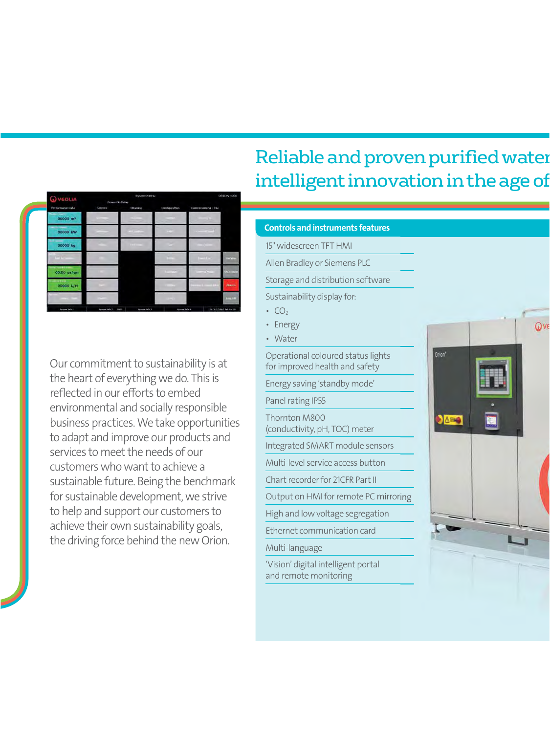| <b>Q</b> veoua              | Power Ub Delay                      | System Merez                  |                                      |                                        | DRIDN-4000          |
|-----------------------------|-------------------------------------|-------------------------------|--------------------------------------|----------------------------------------|---------------------|
| Performance Data            | <b>GOOTH</b>                        | <b>Channel</b>                | <b>Configuration</b>                 | Советнымита / Ока                      |                     |
| e.<br>00000 m <sup>3</sup>  | <b>COLLEGE</b>                      | m<br><b>Contract Contract</b> |                                      |                                        |                     |
| <b>CONTRACT</b><br>00000 kW |                                     | and construction              | <b>DOM:</b>                          | <b>Continued Inc.</b>                  |                     |
| 00000 kg                    |                                     | <b>COLLEGE</b>                | ÷                                    | The Company                            |                     |
|                             |                                     |                               |                                      | $\mathbf{u}$                           | <b>THE VIEW</b>     |
| 00.00 us/cm                 |                                     |                               | <br><b>CONTRACTOR</b>                | <b>The Intelligence</b>                | <b>PARTIES</b>      |
| <b>ATENIA</b><br>00000 L/H  | <b>DOM: NO</b>                      |                               | <b>In the United States</b><br>- - - | <b>CONTRACTOR</b><br><b>COLORED IN</b> | Allants.            |
|                             | m                                   |                               | وتيناك                               |                                        | <b>Janeiro H</b>    |
| <b>Sevings Sole 6</b>       | <b>System ba's ?</b><br><b>OBUS</b> | <b>Information is</b>         | tiporem jala 4                       |                                        | 31/12/2002 10/55/59 |

Our commitment to sustainability is at the heart of everything we do. This is reflected in our efforts to embed environmental and socially responsible business practices. We take opportunities to adapt and improve our products and services to meet the needs of our customers who want to achieve a sustainable future. Being the benchmark for sustainable development, we strive to help and support our customers to achieve their own sustainability goals, the driving force behind the new Orion.

# Reliable and proven purified wate intelligent innovation in the age of

#### Controls and instruments features

15" widescreen TFT HMI

Allen Bradley or Siemens PLC

Storage and distribution software

Sustainability display for:

- $CO<sub>2</sub>$
- Energy

• Water

Operational coloured status lights for improved health and safety Energy saving 'standby mode' Panel rating IP55 Thornton M800 (conductivity, pH, TOC) meter Integrated SMART module sensors Multi-level service access button Chart recorder for 21CFR Part II Output on HMI for remote PC mirroring High and low voltage segregation Ethernet communication card Multi-language 'Vision' digital intelligent portal

and remote monitoring

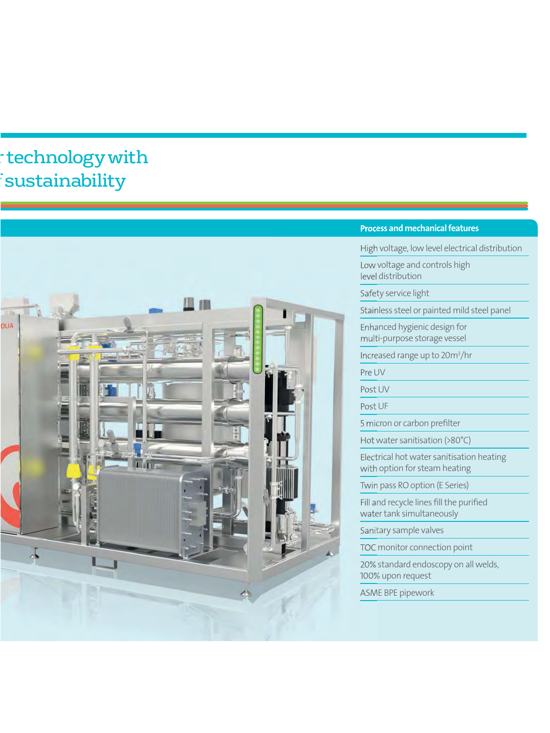# technology with sustainability



#### Process and mechanical features

High voltage, low level electrical distribution

Low voltage and controls high level distribution

Safety service light

Stainless steel or painted mild steel panel

Enhanced hygienic design for multi-purpose storage vessel

Increased range up to 20m<sup>3</sup>/hr

Pre UV

Post UV

Post UF

5 micron or carbon prefilter

Hot water sanitisation (>80°C)

Electrical hot water sanitisation heating with option for steam heating

Twin pass RO option (E Series)

Fill and recycle lines fill the purified water tank simultaneously

Sanitary sample valves

TOC monitor connection point

20% standard endoscopy on all welds, 100% upon request

ASME BPE pipework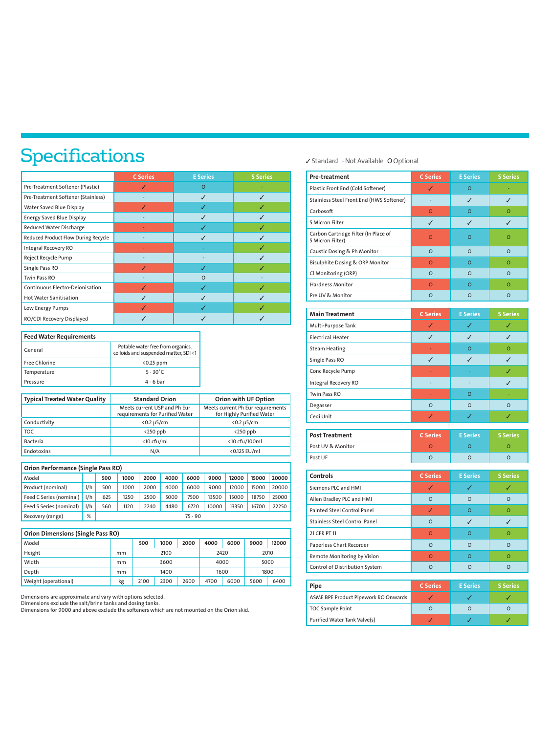# Specifications

|                                     | <b>C</b> Series | <b>E</b> Series | <b>S</b> Series |
|-------------------------------------|-----------------|-----------------|-----------------|
| Pre-Treatment Softener (Plastic)    |                 | $\Omega$        |                 |
| Pre-Treatment Softener (Stainless)  |                 | ✓               | J               |
| Water Saved Blue Display            |                 | J               | J               |
| <b>Energy Saved Blue Display</b>    |                 | J               | J               |
| Reduced Water Discharge             |                 | J               | J               |
| Reduced Product Flow During Recycle |                 | J               | J               |
| Integral Recovery RO                |                 |                 | J               |
| Reject Recycle Pump                 |                 | ۰               |                 |
| Single Pass RO                      |                 | ✓               | J               |
| Twin Pass RO                        |                 | $\Omega$        |                 |
| Continuous Electro-Deionisation     |                 | J               |                 |
| <b>Hot Water Sanitisation</b>       |                 | J               |                 |
| Low Energy Pumps                    |                 |                 |                 |
| RO/CDI Recovery Displayed           |                 |                 |                 |

| <b>Feed Water Requirements</b> |                                                                            |  |  |  |  |
|--------------------------------|----------------------------------------------------------------------------|--|--|--|--|
| General                        | Potable water free from organics,<br>colloids and suspended matter, SDI <1 |  |  |  |  |
| Free Chlorine                  | $< 0.25$ ppm                                                               |  |  |  |  |
| Temperature                    | $5 - 30^{\circ}$ C                                                         |  |  |  |  |
| Pressure                       | $4 - 6$ bar                                                                |  |  |  |  |

| Typical Treated Water Quality | <b>Standard Orion</b>                                           | Orion with UF Option                                           |
|-------------------------------|-----------------------------------------------------------------|----------------------------------------------------------------|
|                               | Meets current USP and Ph Eur<br>requirements for Purified Water | Meets current Ph Eur requirements<br>for Highly Purified Water |
| Conductivity                  | $< 0.2 \mu$ 5/cm                                                | $< 0.2 \mu$ 5/cm                                               |
| <b>TOC</b>                    | $<$ 250 ppb                                                     | $<$ 250 ppb                                                    |
| <b>Bacteria</b>               | <10 cfu/ml                                                      | <10 cfu/100ml                                                  |
| Endotoxins                    | N/A                                                             | <0.125 EU/ml                                                   |

| Orion Performance (Single Pass RO) |     |           |      |      |      |      |       |       |       |       |
|------------------------------------|-----|-----------|------|------|------|------|-------|-------|-------|-------|
| Model                              |     | 500       | 1000 | 2000 | 4000 | 6000 | 9000  | 12000 | 15000 | 20000 |
| Product (nominal)                  | 1/h | 500       | 1000 | 2000 | 4000 | 6000 | 9000  | 12000 | 15000 | 20000 |
| Feed C Series (nominal)            | 1/h | 625       | 1250 | 2500 | 5000 | 7500 | 13500 | 15000 | 18750 | 25000 |
| Feed S Series (nominal)            | 1/h | 560       | 1120 | 2240 | 4480 | 6720 | 10000 | 13350 | 16700 | 22250 |
| Recovery (range)                   | %   | $75 - 90$ |      |      |      |      |       |       |       |       |

| <b>Orion Dimensions (Single Pass RO)</b> |    |      |      |      |      |      |      |       |
|------------------------------------------|----|------|------|------|------|------|------|-------|
| Model                                    |    | 500  | 1000 | 2000 | 4000 | 6000 | 9000 | 12000 |
| Height                                   | mm |      | 2100 |      |      | 2420 |      | 2010  |
| Width                                    | mm |      | 3600 |      |      | 4000 |      | 5000  |
| Depth                                    | mm |      | 1400 |      |      | 1600 |      | 1800  |
| Weight (operational)                     | kg | 2100 | 2300 | 2600 | 4700 | 6000 | 5600 | 6400  |

Dimensions are approximate and vary with options selected. Dimensions exclude the salt/brine tanks and dosing tanks.

Dimensions for 9000 and above exclude the softeners which are not mounted on the Orion skid.

#### Standard - Not Available O Optional

| Pre-treatment                                            | <b>C</b> Series | <b>E</b> Series | <b>S</b> Series |
|----------------------------------------------------------|-----------------|-----------------|-----------------|
| Plastic Front End (Cold Softener)                        | V               | $\overline{O}$  |                 |
| Stainless Steel Front End (HWS Softener)                 |                 | J               | J               |
| Carbosoft                                                | $\Omega$        | $\Omega$        | Ō               |
| 5 Micron Filter                                          | J               | J               | J               |
| Carbon Cartridge Filter (In Place of<br>5 Micron Filter) | $\circ$         | $\overline{O}$  | o               |
| Caustic Dosing & Ph Monitor                              | $\Omega$        | $\Omega$        | O               |
| <b>Bisulphite Dosing &amp; ORP Monitor</b>               | $\Omega$        | $\Omega$        | $\Omega$        |
| Cl Monitoring (ORP)                                      | $\Omega$        | $\Omega$        | $\Omega$        |
| <b>Hardness Monitor</b>                                  | $\circ$         | $\Omega$        | $\overline{O}$  |
| Pre UV & Monitor                                         | $\circ$         | $\Omega$        | $\circ$         |
|                                                          |                 |                 |                 |
| <b>Main Treatment</b>                                    | <b>C</b> Series | <b>E</b> Series | <b>S</b> Series |
| Multi-Purpose Tank                                       | ✓               | √               | √               |
| <b>Electrical Heater</b>                                 | J               | J               | $\checkmark$    |
| <b>Steam Heating</b>                                     | ä,              | $\overline{O}$  | Ō               |
| Single Pass RO                                           | ✓               | ✓               | J               |
| Conc Recycle Pump                                        |                 |                 | Í               |
| <b>Integral Recovery RO</b>                              |                 |                 | J               |
| <b>Twin Pass RO</b>                                      |                 | $\Omega$        |                 |
| Degasser                                                 | $\circ$         | $\circ$         | O               |
| Cedi Unit                                                | J.              | J               | ✓               |
|                                                          |                 |                 |                 |
| <b>Post Treatment</b>                                    | <b>C</b> Series | <b>E</b> Series | <b>S</b> Series |
| Post UV & Monitor                                        | $\Omega$        | $\Omega$        | $\Omega$        |
| Post UF                                                  | $\circ$         | $\circ$         | $\overline{O}$  |
| Controls                                                 | <b>C</b> Series | <b>E</b> Series | <b>S</b> Series |
| Siemens PLC and HMI                                      | ✓               | ✓               | ✓               |
| Allen Bradley PLC and HMI                                | $\Omega$        | $\Omega$        | O               |
| Painted Steel Control Panel                              | ✓               | $\Omega$        | $\overline{O}$  |
| <b>Stainless Steel Control Panel</b>                     | $\circ$         | $\checkmark$    | ✓               |
| 21 CFR PT 11                                             | $\circ$         | $\circ$         | Ō               |
| Paperless Chart Recorder                                 | $\circ$         | $\circ$         | Ō               |
| Remote Monitoring by Vision                              | $\circ$         | $\overline{O}$  | Ō               |

| Pipe                                 | <b>C</b> Series | <b>E</b> Series | <b>S</b> Series |
|--------------------------------------|-----------------|-----------------|-----------------|
| ASME BPE Product Pipework RO Onwards |                 |                 |                 |
| <b>TOC Sample Point</b>              |                 | ο               |                 |
| Purified Water Tank Valve(s)         |                 |                 |                 |

Control of Distribution System **Control** o **O** O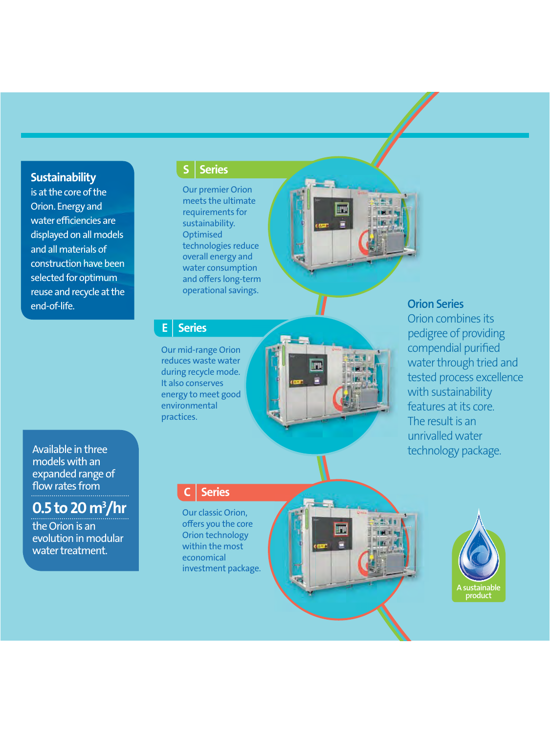**Sustainability** 

is at the core of the Orion. Energy and water efficiencies are displayed on all models and all materials of construction have been selected for optimum reuse and recycle at the end-of-life.

### **Series**

Our premier Orion meets the ultimate requirements for sustainability. **Optimised** technologies reduce overall energy and water consumption and offers long-term operational savings.

### **Series**

Our mid-range Orion reduces waste water during recycle mode. It also conserves energy to meet good environmental practices.



### **Orion Series**

Orion com bines its pedigree of providing compendial puri fi ed water throu gh tried and teste d process excellence with sustainability<br>features at its core The result is an unrivalled water technology package.

Available in three models with an expanded range of<br>flow rates from

0.5 to 20 m 3 /hr

the Orion is an evolution in modular water treatment.

### **Series**

Our classic Orion, offers you the core Orion technology within the most economical investment package.



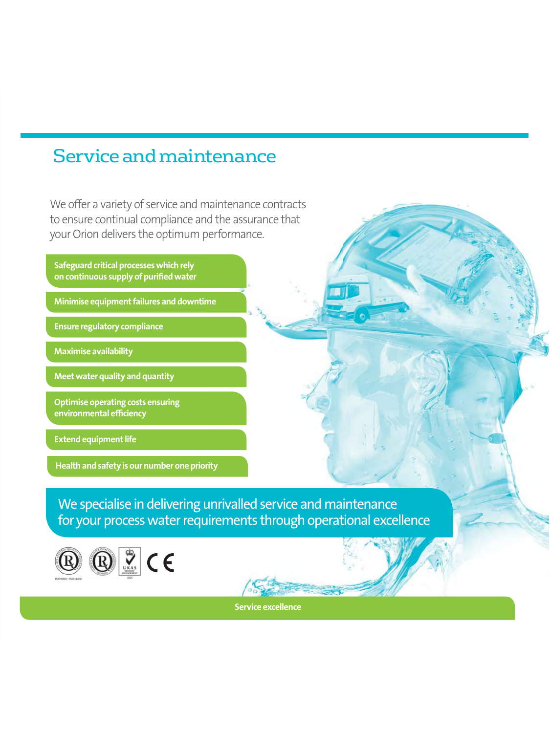## Service and maintenance

We offer a variety of service and maintenance contracts to ensure continual compliance and the assurance that your Orion delivers the optimum performance.

Safeguard critical processes which rely on continuous supply of purified water

Minimise equipment failures and downtime

Ensure regulatory compliance

Maximise availability

Meet water quality and quantity

Optimise operating costs ensuring environmental efficiency

Extend equipment life

Health and safety is our number one priority

We specialise in delivering unrivalled service and maintenance for your process water requirements through operational excellence



Service excellence